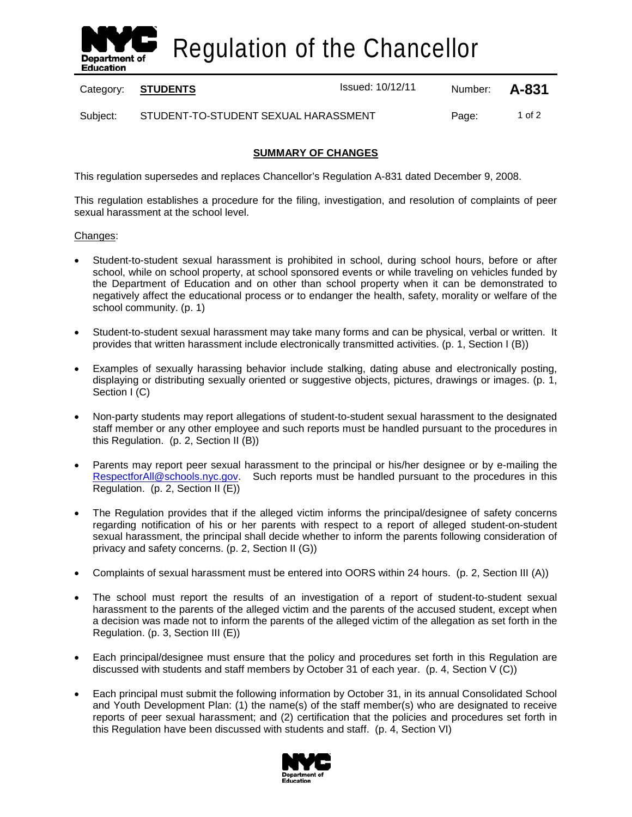

Regulation of the Chancellor

Category: **STUDENTS ISSUED 10/12/11** Number: **A-831** 

Subject: STUDENT-TO-STUDENT SEXUAL HARASSMENT Page: 1 of 2

### **SUMMARY OF CHANGES**

This regulation supersedes and replaces Chancellor's Regulation A-831 dated December 9, 2008.

This regulation establishes a procedure for the filing, investigation, and resolution of complaints of peer sexual harassment at the school level.

### Changes:

- Student-to-student sexual harassment is prohibited in school, during school hours, before or after school, while on school property, at school sponsored events or while traveling on vehicles funded by the Department of Education and on other than school property when it can be demonstrated to negatively affect the educational process or to endanger the health, safety, morality or welfare of the school community. (p. 1)
- Student-to-student sexual harassment may take many forms and can be physical, verbal or written. It provides that written harassment include electronically transmitted activities. (p. 1, Section I (B))
- Examples of sexually harassing behavior include stalking, dating abuse and electronically posting, displaying or distributing sexually oriented or suggestive objects, pictures, drawings or images. (p. 1, Section I (C)
- Non-party students may report allegations of student-to-student sexual harassment to the designated staff member or any other employee and such reports must be handled pursuant to the procedures in this Regulation. (p. 2, Section II (B))
- Parents may report peer sexual harassment to the principal or his/her designee or by e-mailing the [RespectforAll@schools.nyc.gov.](mailto:RespectforAll@schools.nyc.gov) Such reports must be handled pursuant to the procedures in this Regulation. (p. 2, Section II (E))
- The Regulation provides that if the alleged victim informs the principal/designee of safety concerns regarding notification of his or her parents with respect to a report of alleged student-on-student sexual harassment, the principal shall decide whether to inform the parents following consideration of privacy and safety concerns. (p. 2, Section II (G))
- Complaints of sexual harassment must be entered into OORS within 24 hours. (p. 2, Section III (A))
- The school must report the results of an investigation of a report of student-to-student sexual harassment to the parents of the alleged victim and the parents of the accused student, except when a decision was made not to inform the parents of the alleged victim of the allegation as set forth in the Regulation. (p. 3, Section III (E))
- Each principal/designee must ensure that the policy and procedures set forth in this Regulation are discussed with students and staff members by October 31 of each year. (p. 4, Section V (C))
- Each principal must submit the following information by October 31, in its annual Consolidated School and Youth Development Plan: (1) the name(s) of the staff member(s) who are designated to receive reports of peer sexual harassment; and (2) certification that the policies and procedures set forth in this Regulation have been discussed with students and staff. (p. 4, Section VI)

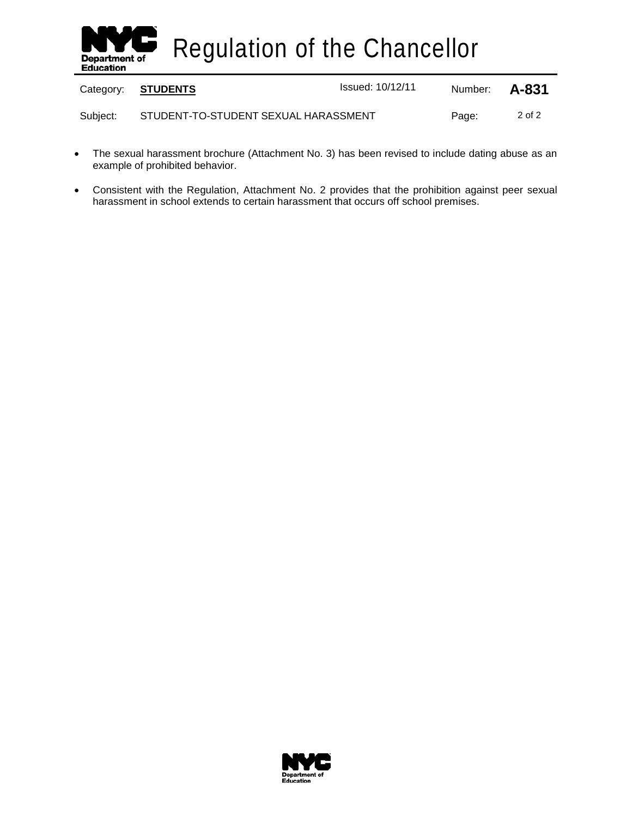

|          | Category: STUDENTS                   | <b>Issued: 10/12/11</b> | Number: <b>A-831</b> |        |
|----------|--------------------------------------|-------------------------|----------------------|--------|
| Subject: | STUDENT-TO-STUDENT SEXUAL HARASSMENT |                         | Page:                | 2 of 2 |

- The sexual harassment brochure (Attachment No. 3) has been revised to include dating abuse as an example of prohibited behavior.
- Consistent with the Regulation, Attachment No. 2 provides that the prohibition against peer sexual harassment in school extends to certain harassment that occurs off school premises.

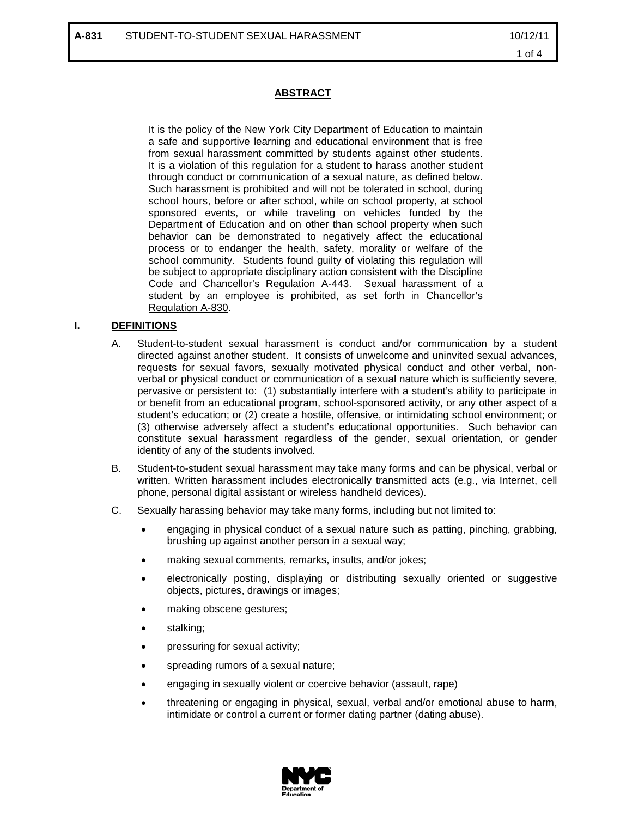### **ABSTRACT**

It is the policy of the New York City Department of Education to maintain a safe and supportive learning and educational environment that is free from sexual harassment committed by students against other students. It is a violation of this regulation for a student to harass another student through conduct or communication of a sexual nature, as defined below. Such harassment is prohibited and will not be tolerated in school, during school hours, before or after school, while on school property, at school sponsored events, or while traveling on vehicles funded by the Department of Education and on other than school property when such behavior can be demonstrated to negatively affect the educational process or to endanger the health, safety, morality or welfare of the school community. Students found guilty of violating this regulation will be subject to appropriate disciplinary action consistent with the Discipline Code and Chancellor's Regulation A-443. Sexual harassment of a student by an employee is prohibited, as set forth in Chancellor's Regulation A-830.

### **I. DEFINITIONS**

- A. Student-to-student sexual harassment is conduct and/or communication by a student directed against another student. It consists of unwelcome and uninvited sexual advances, requests for sexual favors, sexually motivated physical conduct and other verbal, nonverbal or physical conduct or communication of a sexual nature which is sufficiently severe, pervasive or persistent to: (1) substantially interfere with a student's ability to participate in or benefit from an educational program, school-sponsored activity, or any other aspect of a student's education; or (2) create a hostile, offensive, or intimidating school environment; or (3) otherwise adversely affect a student's educational opportunities. Such behavior can constitute sexual harassment regardless of the gender, sexual orientation, or gender identity of any of the students involved.
- B. Student-to-student sexual harassment may take many forms and can be physical, verbal or written. Written harassment includes electronically transmitted acts (e.g., via Internet, cell phone, personal digital assistant or wireless handheld devices).
- C. Sexually harassing behavior may take many forms, including but not limited to:
	- engaging in physical conduct of a sexual nature such as patting, pinching, grabbing, brushing up against another person in a sexual way;
	- making sexual comments, remarks, insults, and/or jokes;
	- electronically posting, displaying or distributing sexually oriented or suggestive objects, pictures, drawings or images;
	- making obscene gestures;
	- stalking;
	- pressuring for sexual activity;
	- spreading rumors of a sexual nature;
	- engaging in sexually violent or coercive behavior (assault, rape)
	- threatening or engaging in physical, sexual, verbal and/or emotional abuse to harm, intimidate or control a current or former dating partner (dating abuse).

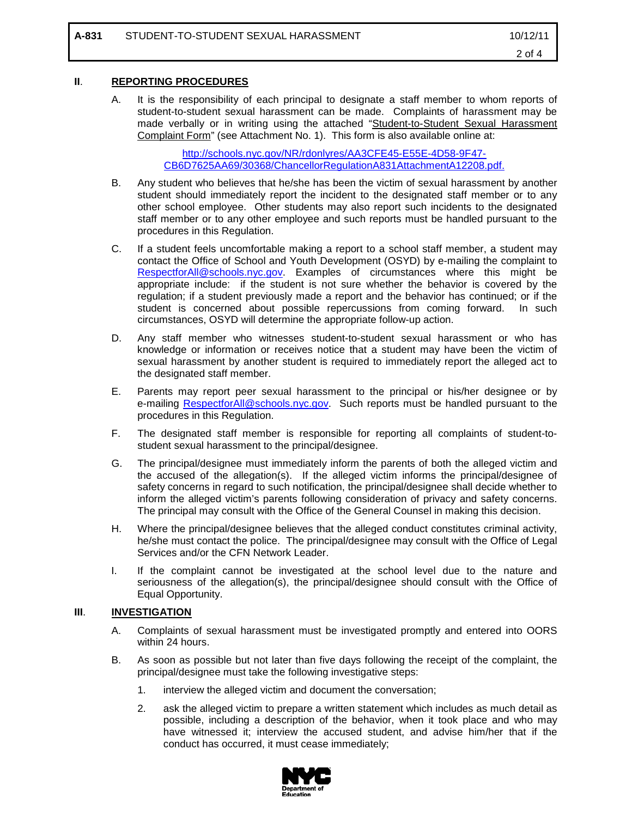### **II**. **REPORTING PROCEDURES**

A. It is the responsibility of each principal to designate a staff member to whom reports of student-to-student sexual harassment can be made. Complaints of harassment may be made verbally or in writing using the attached "Student-to-Student Sexual Harassment Complaint Form" (see Attachment No. 1). This form is also available online at:

> [http://schools.nyc.gov/NR/rdonlyres/AA3CFE45-E55E-4D58-9F47-](http://schools.nyc.gov/NR/rdonlyres/AA3CFE45-E55E-4D58-9F47-CB6D7625AA69/30368/ChancellorRegulationA831AttachmentA12208.pdf.) [CB6D7625AA69/30368/ChancellorRegulationA831AttachmentA12208.pdf.](http://schools.nyc.gov/NR/rdonlyres/AA3CFE45-E55E-4D58-9F47-CB6D7625AA69/30368/ChancellorRegulationA831AttachmentA12208.pdf.)

- B. Any student who believes that he/she has been the victim of sexual harassment by another student should immediately report the incident to the designated staff member or to any other school employee. Other students may also report such incidents to the designated staff member or to any other employee and such reports must be handled pursuant to the procedures in this Regulation.
- C. If a student feels uncomfortable making a report to a school staff member, a student may contact the Office of School and Youth Development (OSYD) by e-mailing the complaint to [RespectforAll@schools.nyc.gov.](mailto:RespectforAll@schools.nyc.gov) Examples of circumstances where this might be appropriate include: if the student is not sure whether the behavior is covered by the regulation; if a student previously made a report and the behavior has continued; or if the student is concerned about possible repercussions from coming forward. In such circumstances, OSYD will determine the appropriate follow-up action.
- D. Any staff member who witnesses student-to-student sexual harassment or who has knowledge or information or receives notice that a student may have been the victim of sexual harassment by another student is required to immediately report the alleged act to the designated staff member.
- E. Parents may report peer sexual harassment to the principal or his/her designee or by e-mailing [RespectforAll@schools.nyc.gov.](mailto:RespectforAll@schools.nyc.gov) Such reports must be handled pursuant to the procedures in this Regulation.
- F. The designated staff member is responsible for reporting all complaints of student-tostudent sexual harassment to the principal/designee.
- G. The principal/designee must immediately inform the parents of both the alleged victim and the accused of the allegation(s). If the alleged victim informs the principal/designee of safety concerns in regard to such notification, the principal/designee shall decide whether to inform the alleged victim's parents following consideration of privacy and safety concerns. The principal may consult with the Office of the General Counsel in making this decision.
- H. Where the principal/designee believes that the alleged conduct constitutes criminal activity, he/she must contact the police. The principal/designee may consult with the Office of Legal Services and/or the CFN Network Leader.
- I. If the complaint cannot be investigated at the school level due to the nature and seriousness of the allegation(s), the principal/designee should consult with the Office of Equal Opportunity.

### **III**. **INVESTIGATION**

- A. Complaints of sexual harassment must be investigated promptly and entered into OORS within 24 hours.
- B. As soon as possible but not later than five days following the receipt of the complaint, the principal/designee must take the following investigative steps:
	- 1. interview the alleged victim and document the conversation;
	- 2. ask the alleged victim to prepare a written statement which includes as much detail as possible, including a description of the behavior, when it took place and who may have witnessed it; interview the accused student, and advise him/her that if the conduct has occurred, it must cease immediately;

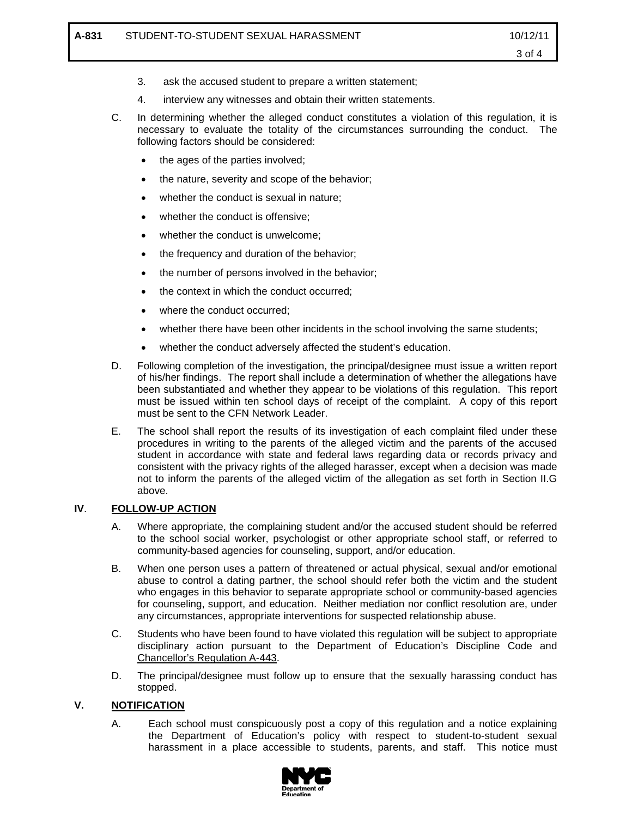- 3. ask the accused student to prepare a written statement;
- 4. interview any witnesses and obtain their written statements.
- C. In determining whether the alleged conduct constitutes a violation of this regulation, it is necessary to evaluate the totality of the circumstances surrounding the conduct. The following factors should be considered:
	- the ages of the parties involved;
	- the nature, severity and scope of the behavior;
	- whether the conduct is sexual in nature;
	- whether the conduct is offensive;
	- whether the conduct is unwelcome;
	- the frequency and duration of the behavior;
	- the number of persons involved in the behavior;
	- the context in which the conduct occurred:
	- where the conduct occurred;
	- whether there have been other incidents in the school involving the same students;
	- whether the conduct adversely affected the student's education.
- D. Following completion of the investigation, the principal/designee must issue a written report of his/her findings. The report shall include a determination of whether the allegations have been substantiated and whether they appear to be violations of this regulation. This report must be issued within ten school days of receipt of the complaint. A copy of this report must be sent to the CFN Network Leader.
- E. The school shall report the results of its investigation of each complaint filed under these procedures in writing to the parents of the alleged victim and the parents of the accused student in accordance with state and federal laws regarding data or records privacy and consistent with the privacy rights of the alleged harasser, except when a decision was made not to inform the parents of the alleged victim of the allegation as set forth in Section II.G above.

### **IV**. **FOLLOW-UP ACTION**

- A. Where appropriate, the complaining student and/or the accused student should be referred to the school social worker, psychologist or other appropriate school staff, or referred to community-based agencies for counseling, support, and/or education.
- B. When one person uses a pattern of threatened or actual physical, sexual and/or emotional abuse to control a dating partner, the school should refer both the victim and the student who engages in this behavior to separate appropriate school or community-based agencies for counseling, support, and education. Neither mediation nor conflict resolution are, under any circumstances, appropriate interventions for suspected relationship abuse.
- C. Students who have been found to have violated this regulation will be subject to appropriate disciplinary action pursuant to the Department of Education's Discipline Code and Chancellor's Regulation A-443.
- D. The principal/designee must follow up to ensure that the sexually harassing conduct has stopped.

### **V. NOTIFICATION**

A. Each school must conspicuously post a copy of this regulation and a notice explaining the Department of Education's policy with respect to student-to-student sexual harassment in a place accessible to students, parents, and staff. This notice must

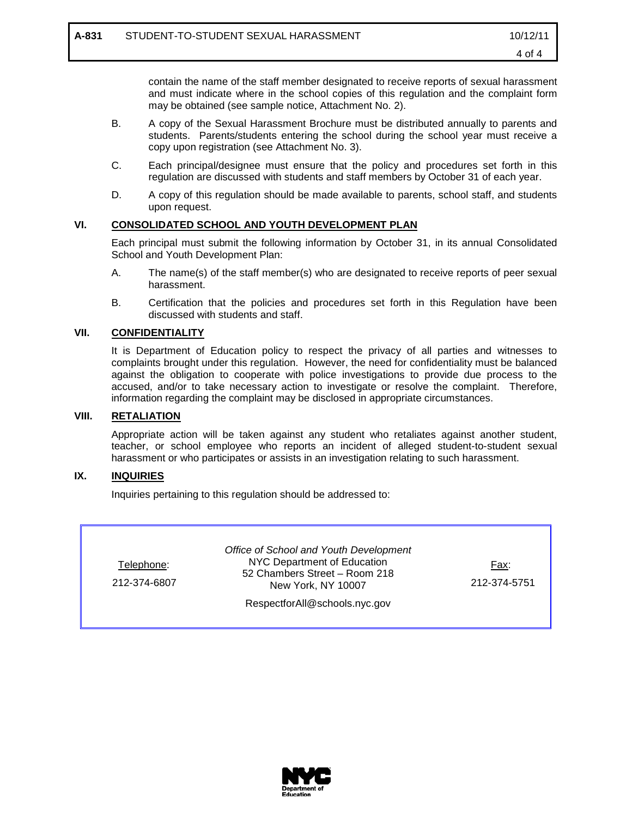contain the name of the staff member designated to receive reports of sexual harassment and must indicate where in the school copies of this regulation and the complaint form may be obtained (see sample notice, Attachment No. 2).

- B. A copy of the Sexual Harassment Brochure must be distributed annually to parents and students. Parents/students entering the school during the school year must receive a copy upon registration (see Attachment No. 3).
- C. Each principal/designee must ensure that the policy and procedures set forth in this regulation are discussed with students and staff members by October 31 of each year.
- D. A copy of this regulation should be made available to parents, school staff, and students upon request.

### **VI. CONSOLIDATED SCHOOL AND YOUTH DEVELOPMENT PLAN**

Each principal must submit the following information by October 31, in its annual Consolidated School and Youth Development Plan:

- A. The name(s) of the staff member(s) who are designated to receive reports of peer sexual harassment.
- B. Certification that the policies and procedures set forth in this Regulation have been discussed with students and staff.

### **VII. CONFIDENTIALITY**

It is Department of Education policy to respect the privacy of all parties and witnesses to complaints brought under this regulation. However, the need for confidentiality must be balanced against the obligation to cooperate with police investigations to provide due process to the accused, and/or to take necessary action to investigate or resolve the complaint. Therefore, information regarding the complaint may be disclosed in appropriate circumstances.

### **VIII. RETALIATION**

Appropriate action will be taken against any student who retaliates against another student, teacher, or school employee who reports an incident of alleged student-to-student sexual harassment or who participates or assists in an investigation relating to such harassment.

### **IX. INQUIRIES**

Inquiries pertaining to this regulation should be addressed to:

| Telephone:<br>212-374-6807    | Office of School and Youth Development<br>NYC Department of Education<br>52 Chambers Street - Room 218<br>New York, NY 10007 | Fax:<br>212-374-5751 |  |  |
|-------------------------------|------------------------------------------------------------------------------------------------------------------------------|----------------------|--|--|
| RespectforAll@schools.nyc.gov |                                                                                                                              |                      |  |  |

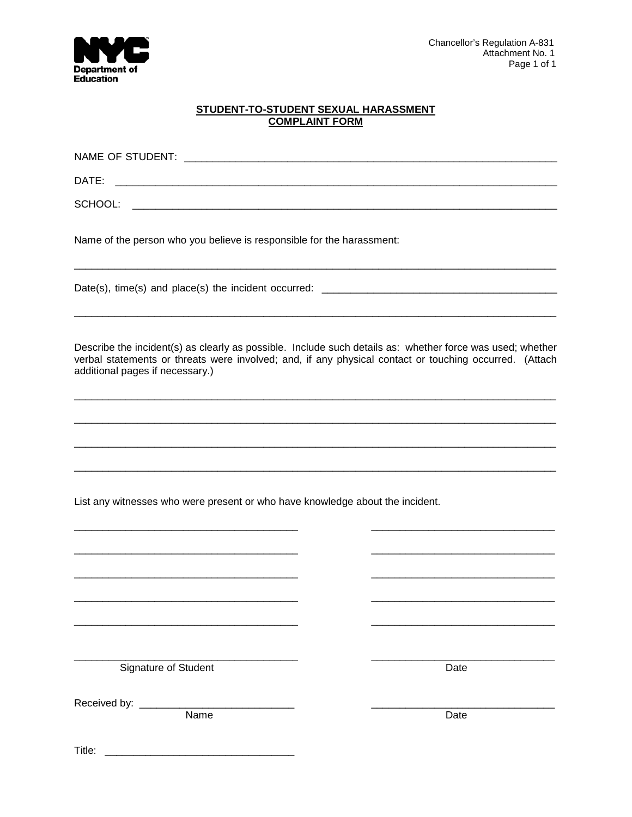

# STUDENT-TO-STUDENT SEXUAL HARASSMENT<br>COMPLAINT FORM

| DATE:<br><u> 2000 - Jan James James Barnett, amerikansk politik (d. 1982)</u> |                                                                                                                                                                                                                     |  |  |  |
|-------------------------------------------------------------------------------|---------------------------------------------------------------------------------------------------------------------------------------------------------------------------------------------------------------------|--|--|--|
| SCHOOL:                                                                       |                                                                                                                                                                                                                     |  |  |  |
| Name of the person who you believe is responsible for the harassment:         |                                                                                                                                                                                                                     |  |  |  |
|                                                                               |                                                                                                                                                                                                                     |  |  |  |
| additional pages if necessary.)                                               | Describe the incident(s) as clearly as possible. Include such details as: whether force was used; whether<br>verbal statements or threats were involved; and, if any physical contact or touching occurred. (Attach |  |  |  |
|                                                                               |                                                                                                                                                                                                                     |  |  |  |
|                                                                               |                                                                                                                                                                                                                     |  |  |  |
| List any witnesses who were present or who have knowledge about the incident. |                                                                                                                                                                                                                     |  |  |  |
|                                                                               |                                                                                                                                                                                                                     |  |  |  |
|                                                                               |                                                                                                                                                                                                                     |  |  |  |
|                                                                               |                                                                                                                                                                                                                     |  |  |  |
|                                                                               |                                                                                                                                                                                                                     |  |  |  |
| Signature of Student                                                          | Date                                                                                                                                                                                                                |  |  |  |
| Name                                                                          | Date                                                                                                                                                                                                                |  |  |  |
| Title:                                                                        |                                                                                                                                                                                                                     |  |  |  |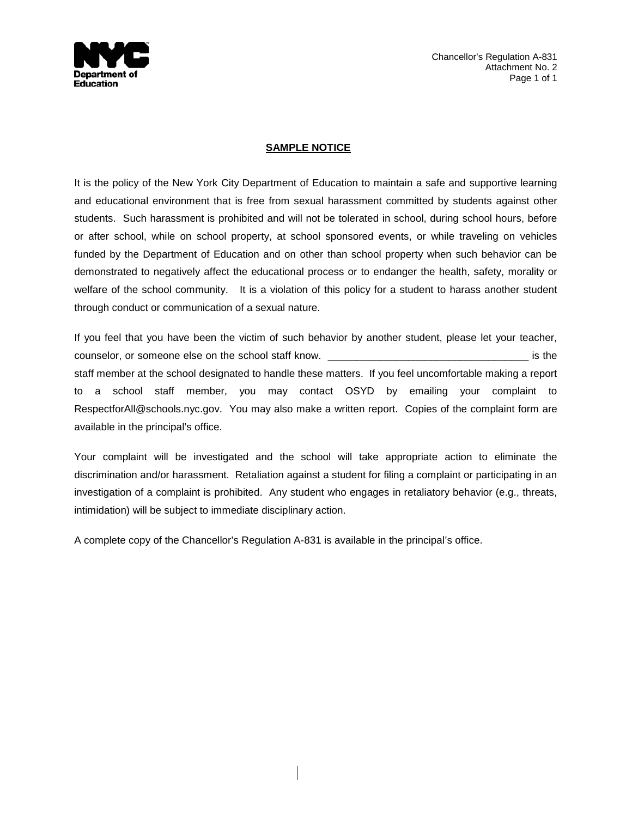

Chancellor's Regulation A-831 Attachment No. 2 Page 1 of 1

### **SAMPLE NOTICE**

It is the policy of the New York City Department of Education to maintain a safe and supportive learning and educational environment that is free from sexual harassment committed by students against other students. Such harassment is prohibited and will not be tolerated in school, during school hours, before or after school, while on school property, at school sponsored events, or while traveling on vehicles funded by the Department of Education and on other than school property when such behavior can be demonstrated to negatively affect the educational process or to endanger the health, safety, morality or welfare of the school community. It is a violation of this policy for a student to harass another student through conduct or communication of a sexual nature.

If you feel that you have been the victim of such behavior by another student, please let your teacher, counselor, or someone else on the school staff know. \_\_\_\_\_\_\_\_\_\_\_\_\_\_\_\_\_\_\_\_\_\_\_\_\_\_\_\_\_\_\_\_\_\_\_ is the staff member at the school designated to handle these matters. If you feel uncomfortable making a report to a school staff member, you may contact OSYD by emailing your complaint to RespectforAll@schools.nyc.gov. You may also make a written report. Copies of the complaint form are available in the principal's office.

Your complaint will be investigated and the school will take appropriate action to eliminate the discrimination and/or harassment. Retaliation against a student for filing a complaint or participating in an investigation of a complaint is prohibited. Any student who engages in retaliatory behavior (e.g., threats, intimidation) will be subject to immediate disciplinary action.

A complete copy of the Chancellor's Regulation A-831 is available in the principal's office.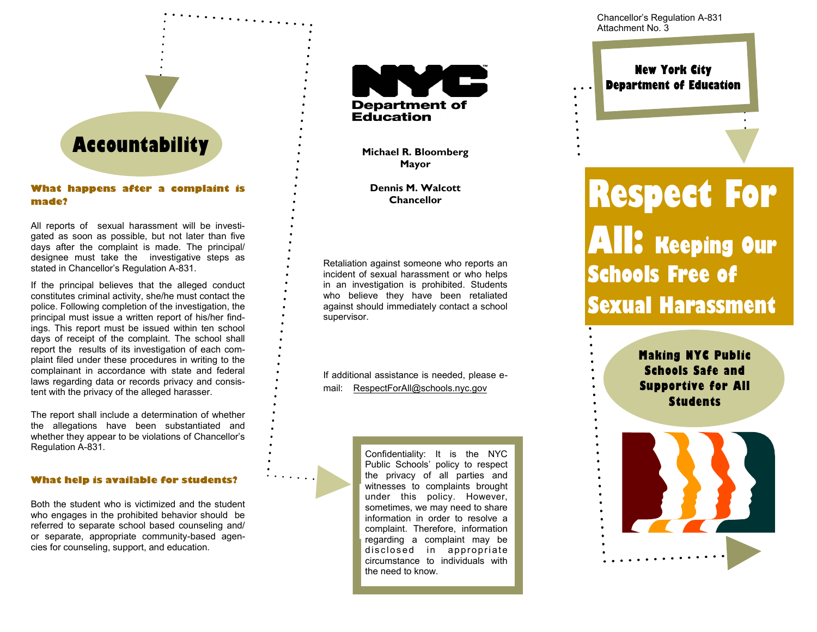## **Accountability**

**What happens after a complaint is made?**

All reports of sexual harassment will be investigated as soon as possible, but not later than five days after the complaint is made. The principal/ designee must take the investigative steps as stated in Chancellor's Regulation A-831.

If the principal believes that the alleged conduct constitutes criminal activity, she/he must contact the police. Following completion of the investigation, the principal must issue a written report of his/her findings. This report must be issued within ten school days of receipt of the complaint. The school shall report the results of its investigation of each complaint filed under these procedures in writing to the complainant in accordance with state and federal laws regarding data or records privacy and consistent with the privacy of the alleged harasser.

The report shall include a determination of whether the allegations have been substantiated and whether they appear to be violations of Chancellor's Regulation A-831.

### **What help is available for students?**

Both the student who is victimized and the student who engages in the prohibited behavior should be referred to separate school based counseling and/ or separate, appropriate community-based agencies for counseling, support, and education.



**Michael R. Bloomberg Mayor**

**Dennis M. Walcott Chancellor**

Retaliation against someone who reports an incident of sexual harassment or who helps in an investigation is prohibited. Students who believe they have been retaliated against should immediately contact a school supervisor.

If additional assistance is needed, please email: RespectForAll@schools.nyc.gov

> Confidentiality: It is the NYC Public Schools' policy to respect the privacy of all parties and witnesses to complaints brought under this policy. However, sometimes, we may need to share information in order to resolve a complaint. Therefore, information regarding a complaint may be disclosed in appropriate circumstance to individuals with the need to know.

Chancellor's Regulation A-831 Attachment No. 3

### **New York City Department of Education**

# **Respect For All: Keeping Our Schools Free of Sexual Harassment**

**Making NYC Public Schools Safe and Supportive for All Students**